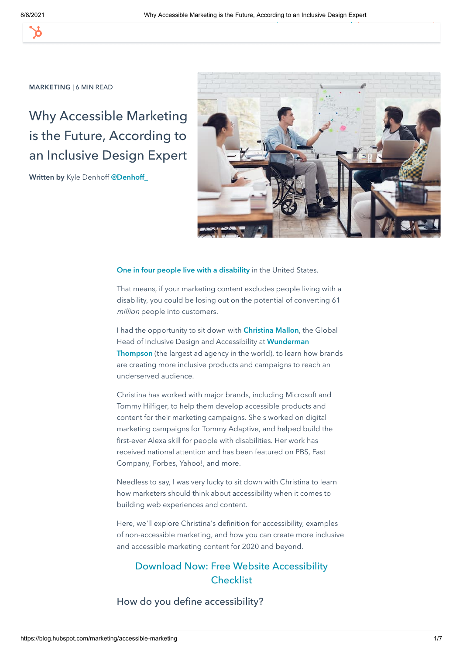[MARKETING](https://blog.hubspot.com/marketing) [SALES](https://blog.hubspot.com/sales) [SERVICE](https://blog.hubspot.com/service) [WEBSITE](https://blog.hubspot.com/website) Search the blog... [Start free or get a demo](https://www.hubspot.com/products/get-started?hubs_campaign=blog-sticky-nav&hubs_content=blog-posts&hubs_cta=blog-posts-blog-sticky-nav-cta)

#### [MARKETING](https://blog.hubspot.com/marketing) | 6 MIN READ

# Why Accessible Marketing is the Future, According to an Inclusive Design Expert

Written by [Kyle Denhoff](https://blog.hubspot.com/marketing/author/kyle-denhoff) @Denhoff



#### [One in four people live with a disability](https://www.cdc.gov/ncbddd/disabilityandhealth/infographic-disability-impacts-all.html) in the United States.

That means, if your marketing content excludes people living with a disability, you could be losing out on the potential of converting 61 million people into customers.

I had the opportunity to sit down with **[Christina Mallon](https://www.linkedin.com/in/christina-mallon-019ab911/)**, the Global Head of Inclusive Design and Accessibility at Wunderman Thompson [\(the largest ad agency in the world\), to learn ho](https://www.wundermanthompson.com/)w brands are creating more inclusive products and campaigns to reach an underserved audience.

Christina has worked with major brands, including Microsoft and Tommy Hilfiger, to help them develop accessible products and content for their marketing campaigns. She's worked on digital marketing campaigns for Tommy Adaptive, and helped build the first-ever Alexa skill for people with disabilities. Her work has received national attention and has been featured on PBS, Fast Company, Forbes, Yahoo!, and more.

Needless to say, I was very lucky to sit down with Christina to learn how marketers should think about accessibility when it comes to building web experiences and content.

Here, we'll explore Christina's definition for accessibility, examples of non-accessible marketing, and how you can create more inclusive and accessible marketing content for 2020 and beyond.

# [Download Now: Free Website Accessibility](https://blog.hubspot.com/cs/c/?cta_guid=dfa98d78-dd60-4d43-92dd-c13539d78c00&signature=AAH58kF5jjRUkM_qJbSvIhyp1SGLoTJYxw&pageId=25058107753&placement_guid=b406eca6-9fbf-43f2-9b32-725d1830ae51&click=fc731122-d096-4650-a5d8-f496576a1674&hsutk=eddf79318b8752a1bd3327263119b16c&canon=https%3A%2F%2Fblog.hubspot.com%2Fmarketing%2Faccessible-marketing&utm_referrer=https%3A%2F%2Fwww.google.com%2F&portal_id=53&contentType=blog-post&redirect_url=APefjpGjrg-jNEA5FgR_HHlHaI2IE9zB4Kj34ee-cz_GZcURglwPY9WkLZRSy25QOCi_J3FS3sb9HP5YKd3HjRVXHT2WNUoX_fWUZN3aHH8yXetYvgdDgAkwDH0bvHdbb2yfpSTlgOxoMRSAlEFA9Z-iCiCuxht2czIe-ARALN_qIn2XSmHLgzvNoBOBkv1B32jaHeXcqa8Qyvx0WpEF3TjIbHd8YjNIEv8OrIpc7mmyucBViWDJK1V6LsGvUNflyDeK2I_guQlA8yBIPp2ZLVVusg6VrT_SzTEYvGsL8ABAMgR3lXHBHlD_Q5qhltuMpd11UgUJ6_fp&__hstc=20629287.eddf79318b8752a1bd3327263119b16c.1628412310076.1628412310076.1628412310076.1&__hssc=20629287.1.1628412310077&__hsfp=1032691449) **Checklist**

How do you define accessibility?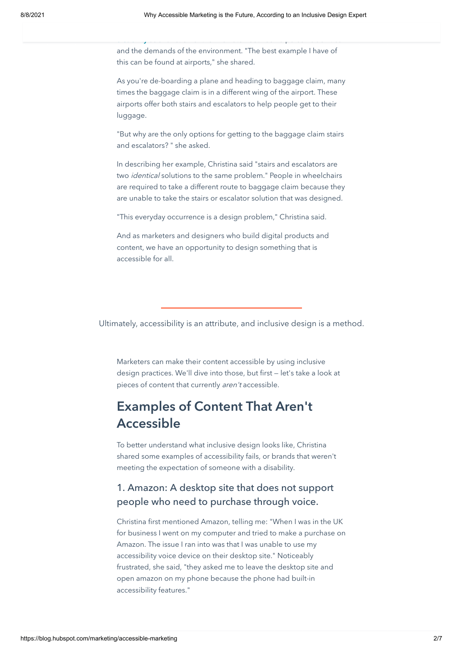and the demands of the environment. "The best example I have of this can be found at airports," she shared.

disability [as a function of the mismatch between a person's abi](https://www.who.int/topics/disabilities/en/)lities

As you're de-boarding a plane and heading to baggage claim, many times the baggage claim is in a different wing of the airport. These airports offer both stairs and escalators to help people get to their luggage.

"But why are the only options for getting to the baggage claim stairs and escalators? " she asked.

In describing her example, Christina said "stairs and escalators are two *identical* solutions to the same problem." People in wheelchairs are required to take a different route to baggage claim because they are unable to take the stairs or escalator solution that was designed.

"This everyday occurrence is a design problem," Christina said.

And as marketers and designers who build digital products and content, we have an opportunity to design something that is accessible for all.

Ultimately, accessibility is an attribute, and inclusive design is a method.

Marketers can make their content accessible by using inclusive design practices. We'll dive into those, but first — let's take a look at pieces of content that currently aren't accessible.

# Examples of Content That Aren't Accessible

To better understand what inclusive design looks like, Christina shared some examples of accessibility fails, or brands that weren't meeting the expectation of someone with a disability.

## 1. Amazon: A desktop site that does not support people who need to purchase through voice.

Christina first mentioned Amazon, telling me: "When I was in the UK for business I went on my computer and tried to make a purchase on Amazon. The issue I ran into was that I was unable to use my accessibility voice device on their desktop site." Noticeably frustrated, she said, "they asked me to leave the desktop site and open amazon on my phone because the phone had built-in accessibility features."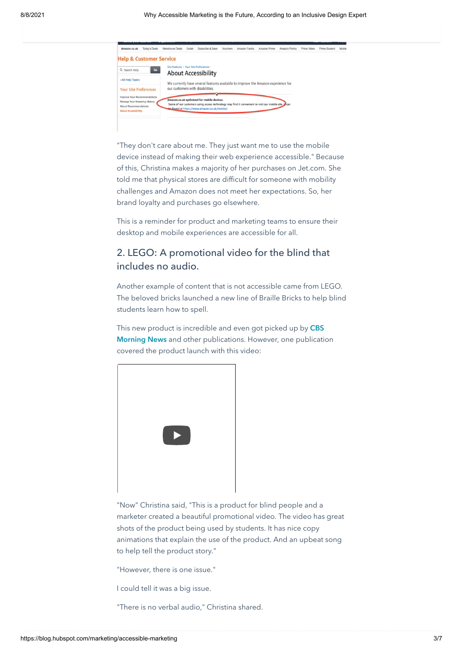| Amazon.co.uk                                                 | Today's Deals | Warehouse Deals                        | Outlet | Subscribe & Save                                                                                                                                      | <b>Vouchers</b> | Amazon Family | Amazon Prime | Amazon Pantry | Prime Video | Prime Student | Mob |
|--------------------------------------------------------------|---------------|----------------------------------------|--------|-------------------------------------------------------------------------------------------------------------------------------------------------------|-----------------|---------------|--------------|---------------|-------------|---------------|-----|
| <b>Help &amp; Customer Service</b>                           |               |                                        |        |                                                                                                                                                       |                 |               |              |               |             |               |     |
| Q Search Help                                                | Go            | Site Features > Your Site Preferences> |        | <b>About Accessibility</b>                                                                                                                            |                 |               |              |               |             |               |     |
| « All Help Topics                                            |               |                                        |        | We currently have several features available to improve the Amazon experience for                                                                     |                 |               |              |               |             |               |     |
| <b>Your Site Preferences</b>                                 |               |                                        |        | our customers with disabilities.                                                                                                                      |                 |               |              |               |             |               |     |
| Improve Your Recommendations<br>Manage Your Browsing History |               |                                        |        | Amazon.co.uk optimized for mobile devices:                                                                                                            |                 |               |              |               |             |               |     |
| About Recommendations<br><b>About Accessibility</b>          |               |                                        |        | Some of our customers using access technology may find it convenient to visit our mobile site. V can<br>Le found at https://www.amazon.co.uk/mobile/. |                 |               |              |               |             |               |     |
|                                                              |               |                                        |        |                                                                                                                                                       |                 |               |              |               |             |               |     |
|                                                              |               |                                        |        |                                                                                                                                                       |                 |               |              |               |             |               |     |

"They don't care about me. They just want me to use the mobile device instead of making their web experience accessible." Because of this, Christina makes a majority of her purchases on Jet.com. She told me that physical stores are difficult for someone with mobility challenges and Amazon does not meet her expectations. So, her brand loyalty and purchases go elsewhere.

This is a reminder for product and marketing teams to ensure their desktop and mobile experiences are accessible for all.

## 2. LEGO: A promotional video for the blind that includes no audio.

Another example of content that is not accessible came from LEGO. The beloved bricks launched a new line of Braille Bricks to help blind students learn how to spell.

[This new product is incredible and even got picked up by](https://youtu.be/VW6xeiG8kIM) CBS Morning News and other publications. However, one publication covered the product launch with this video:

| $\begin{array}{ c } \hline \end{array}$ |  |
|-----------------------------------------|--|

"Now" Christina said, "This is a product for blind people and a marketer created a beautiful promotional video. The video has great shots of the product being used by students. It has nice copy animations that explain the use of the product. And an upbeat song to help tell the product story."

"However, there is one issue."

I could tell it was a big issue.

"There is no verbal audio," Christina shared.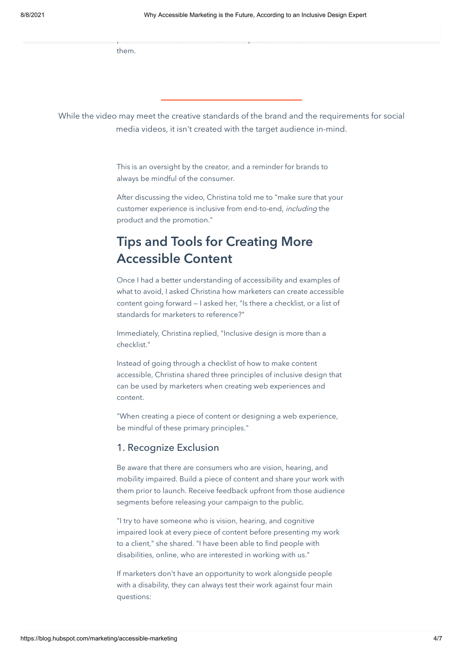them.

While the video may meet the creative standards of the brand and the requirements for social media videos, it isn't created with the target audience in-mind.

promotional video and understand the product that was built for

This is an oversight by the creator, and a reminder for brands to always be mindful of the consumer.

After discussing the video, Christina told me to "make sure that your customer experience is inclusive from end-to-end, including the product and the promotion."

# Tips and Tools for Creating More Accessible Content

Once I had a better understanding of accessibility and examples of what to avoid, I asked Christina how marketers can create accessible content going forward — I asked her, "Is there a checklist, or a list of standards for marketers to reference?"

Immediately, Christina replied, "Inclusive design is more than a checklist."

Instead of going through a checklist of how to make content accessible, Christina shared three principles of inclusive design that can be used by marketers when creating web experiences and content.

"When creating a piece of content or designing a web experience, be mindful of these primary principles."

### 1. Recognize Exclusion

Be aware that there are consumers who are vision, hearing, and mobility impaired. Build a piece of content and share your work with them prior to launch. Receive feedback upfront from those audience segments before releasing your campaign to the public.

"I try to have someone who is vision, hearing, and cognitive impaired look at every piece of content before presenting my work to a client," she shared. "I have been able to find people with disabilities, online, who are interested in working with us."

If marketers don't have an opportunity to work alongside people with a disability, they can always test their work against four main questions: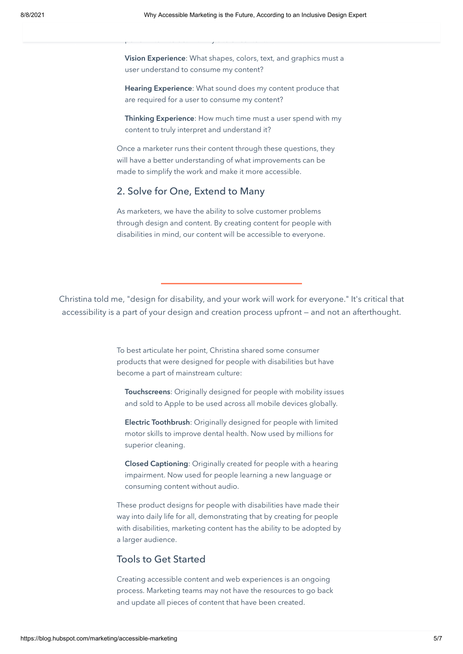Vision Experience: What shapes, colors, text, and graphics must a user understand to consume my content?

Hearing Experience: What sound does my content produce that are required for a user to consume my content?

Thinking Experience: How much time must a user spend with my content to truly interpret and understand it?

Once a marketer runs their content through these questions, they will have a better understanding of what improvements can be made to simplify the work and make it more accessible.

### 2. Solve for One, Extend to Many

perform to interact with my site or content?

As marketers, we have the ability to solve customer problems through design and content. By creating content for people with disabilities in mind, our content will be accessible to everyone.

Christina told me, "design for disability, and your work will work for everyone." It's critical that accessibility is a part of your design and creation process upfront — and not an afterthought.

> To best articulate her point, Christina shared some consumer products that were designed for people with disabilities but have become a part of mainstream culture:

Touchscreens: Originally designed for people with mobility issues and sold to Apple to be used across all mobile devices globally.

Electric Toothbrush: Originally designed for people with limited motor skills to improve dental health. Now used by millions for superior cleaning.

Closed Captioning: Originally created for people with a hearing impairment. Now used for people learning a new language or consuming content without audio.

These product designs for people with disabilities have made their way into daily life for all, demonstrating that by creating for people with disabilities, marketing content has the ability to be adopted by a larger audience.

### Tools to Get Started

Creating accessible content and web experiences is an ongoing process. Marketing teams may not have the resources to go back and update all pieces of content that have been created.